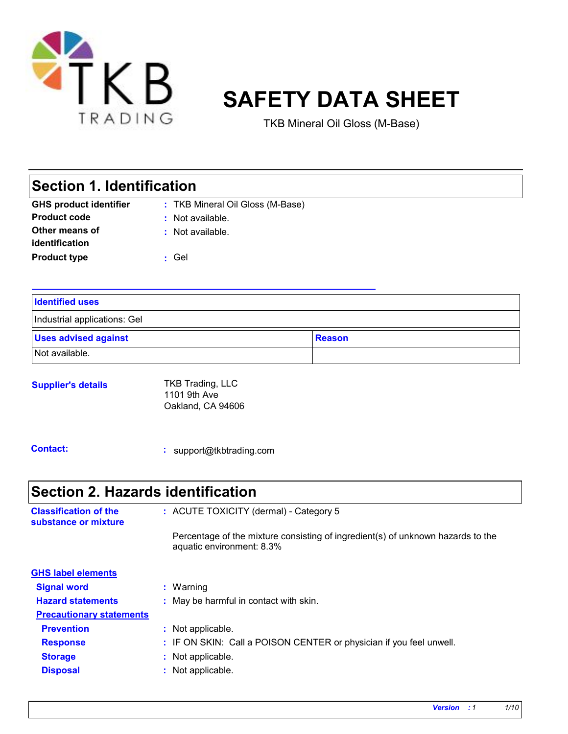

# **SAFETY DATA SHEET**

TKB Mineral Oil Gloss (M-Base)

### **Section 1. Identification**

| <b>GHS product identifier</b> | : TKB Mineral Oil Gloss (M-Base) |
|-------------------------------|----------------------------------|
| <b>Product code</b>           | : Not available.                 |
| Other means of                | : Not available.                 |
| identification                |                                  |
| <b>Product type</b>           | : Gel                            |

| <b>Identified uses</b>       |               |
|------------------------------|---------------|
| Industrial applications: Gel |               |
| <b>Uses advised against</b>  | <b>Reason</b> |
| Not available.               |               |

#### **Supplier's details** TKB Trading, LLC 1101 9th Ave Oakland, CA 94606

**Contact:**

**:** support@tkbtrading.com

**Relevant identified uses of the substance or mixture and uses advised against**

### **Section 2. Hazards identification**

| <b>Classification of the</b><br>substance or mixture | : ACUTE TOXICITY (dermal) - Category 5                                                                       |
|------------------------------------------------------|--------------------------------------------------------------------------------------------------------------|
|                                                      | Percentage of the mixture consisting of ingredient(s) of unknown hazards to the<br>aquatic environment: 8.3% |
| <b>GHS label elements</b>                            |                                                                                                              |
| <b>Signal word</b>                                   | $:$ Warning                                                                                                  |
| <b>Hazard statements</b>                             | : May be harmful in contact with skin.                                                                       |
| <b>Precautionary statements</b>                      |                                                                                                              |
| <b>Prevention</b>                                    | : Not applicable.                                                                                            |
| <b>Response</b>                                      | : IF ON SKIN: Call a POISON CENTER or physician if you feel unwell.                                          |
| <b>Storage</b>                                       | : Not applicable.                                                                                            |
| <b>Disposal</b>                                      | : Not applicable.                                                                                            |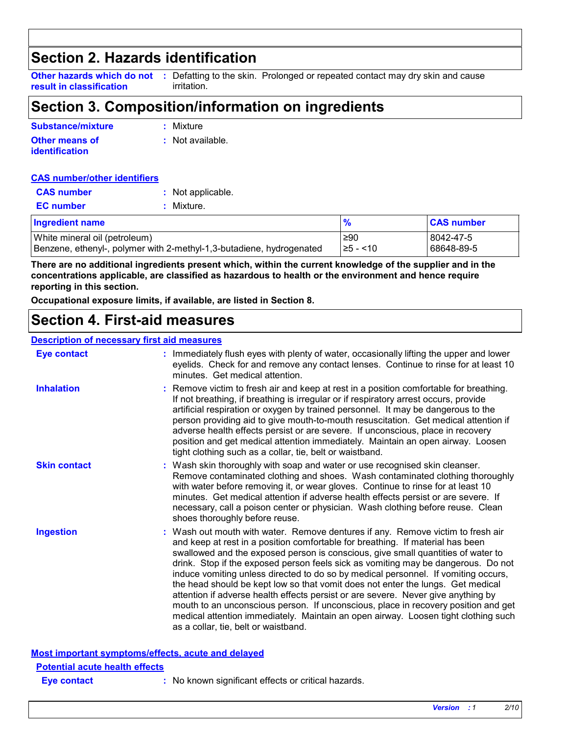### **Section 2. Hazards identification**

**result in classification**

**Other hazards which do not** : Defatting to the skin. Prolonged or repeated contact may dry skin and cause irritation.

### **Section 3. Composition/information on ingredients**

| <b>Substance/mixture</b> | : Mixture          |
|--------------------------|--------------------|
| <b>Other means of</b>    | $:$ Not available. |
| identification           |                    |

#### **CAS number/other identifiers**

| <b>CAS number</b> | : Not applicable. |
|-------------------|-------------------|
| <b>EC</b> number  | : Mixture.        |

| <b>Ingredient name</b>                                               |           | <b>CAS number</b> |
|----------------------------------------------------------------------|-----------|-------------------|
| White mineral oil (petroleum)                                        | .≥90      | l 8042-47-5       |
| Benzene, ethenyl-, polymer with 2-methyl-1,3-butadiene, hydrogenated | I≥5 - <10 | 68648-89-5        |

**There are no additional ingredients present which, within the current knowledge of the supplier and in the concentrations applicable, are classified as hazardous to health or the environment and hence require reporting in this section.**

**Occupational exposure limits, if available, are listed in Section 8.**

### **Section 4. First-aid measures**

#### **Description of necessary first aid measures**

| <b>Eye contact</b>                                 | : Immediately flush eyes with plenty of water, occasionally lifting the upper and lower<br>eyelids. Check for and remove any contact lenses. Continue to rinse for at least 10<br>minutes. Get medical attention.                                                                                                                                                                                                                                                                                                                                                                                                                                                                                                                                                                                                            |
|----------------------------------------------------|------------------------------------------------------------------------------------------------------------------------------------------------------------------------------------------------------------------------------------------------------------------------------------------------------------------------------------------------------------------------------------------------------------------------------------------------------------------------------------------------------------------------------------------------------------------------------------------------------------------------------------------------------------------------------------------------------------------------------------------------------------------------------------------------------------------------------|
| <b>Inhalation</b>                                  | : Remove victim to fresh air and keep at rest in a position comfortable for breathing.<br>If not breathing, if breathing is irregular or if respiratory arrest occurs, provide<br>artificial respiration or oxygen by trained personnel. It may be dangerous to the<br>person providing aid to give mouth-to-mouth resuscitation. Get medical attention if<br>adverse health effects persist or are severe. If unconscious, place in recovery<br>position and get medical attention immediately. Maintain an open airway. Loosen<br>tight clothing such as a collar, tie, belt or waistband.                                                                                                                                                                                                                                 |
| <b>Skin contact</b>                                | : Wash skin thoroughly with soap and water or use recognised skin cleanser.<br>Remove contaminated clothing and shoes. Wash contaminated clothing thoroughly<br>with water before removing it, or wear gloves. Continue to rinse for at least 10<br>minutes. Get medical attention if adverse health effects persist or are severe. If<br>necessary, call a poison center or physician. Wash clothing before reuse. Clean<br>shoes thoroughly before reuse.                                                                                                                                                                                                                                                                                                                                                                  |
| <b>Ingestion</b>                                   | : Wash out mouth with water. Remove dentures if any. Remove victim to fresh air<br>and keep at rest in a position comfortable for breathing. If material has been<br>swallowed and the exposed person is conscious, give small quantities of water to<br>drink. Stop if the exposed person feels sick as vomiting may be dangerous. Do not<br>induce vomiting unless directed to do so by medical personnel. If vomiting occurs,<br>the head should be kept low so that vomit does not enter the lungs. Get medical<br>attention if adverse health effects persist or are severe. Never give anything by<br>mouth to an unconscious person. If unconscious, place in recovery position and get<br>medical attention immediately. Maintain an open airway. Loosen tight clothing such<br>as a collar, tie, belt or waistband. |
| Most important symptoms/effects, acute and delayed |                                                                                                                                                                                                                                                                                                                                                                                                                                                                                                                                                                                                                                                                                                                                                                                                                              |

**Most important symptoms/effects, acute and delayed**

| <b>Potential acute health effects</b> |            |
|---------------------------------------|------------|
| Eye contact                           | $:$ No kno |

Io known significant effects or critical hazards.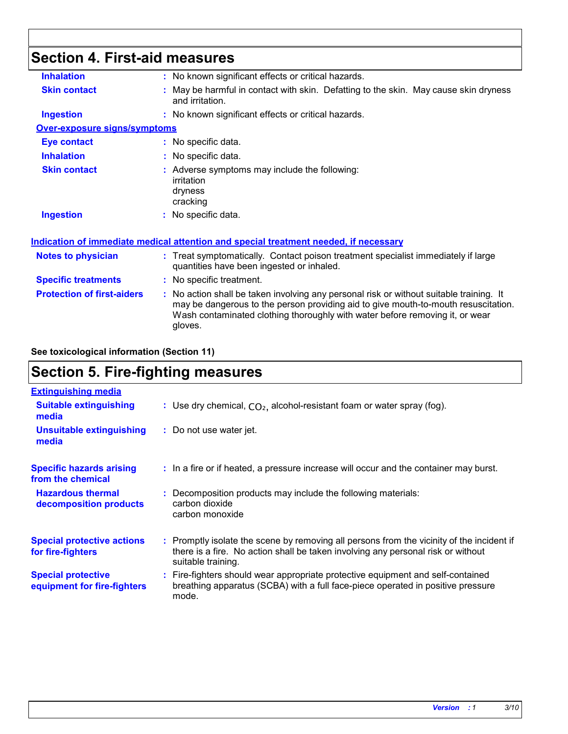## **Section 4. First-aid measures**

| <b>Inhalation</b>                   | : No known significant effects or critical hazards.                                                                                                                                                                                                                      |
|-------------------------------------|--------------------------------------------------------------------------------------------------------------------------------------------------------------------------------------------------------------------------------------------------------------------------|
| <b>Skin contact</b>                 | : May be harmful in contact with skin. Defatting to the skin. May cause skin dryness<br>and irritation.                                                                                                                                                                  |
| <b>Ingestion</b>                    | : No known significant effects or critical hazards.                                                                                                                                                                                                                      |
| <b>Over-exposure signs/symptoms</b> |                                                                                                                                                                                                                                                                          |
| <b>Eye contact</b>                  | : No specific data.                                                                                                                                                                                                                                                      |
| <b>Inhalation</b>                   | : No specific data.                                                                                                                                                                                                                                                      |
| <b>Skin contact</b>                 | : Adverse symptoms may include the following:<br>irritation<br>dryness<br>cracking                                                                                                                                                                                       |
| <b>Ingestion</b>                    | : No specific data.                                                                                                                                                                                                                                                      |
|                                     | Indication of immediate medical attention and special treatment needed, if necessary                                                                                                                                                                                     |
| <b>Notes to physician</b>           | : Treat symptomatically. Contact poison treatment specialist immediately if large<br>quantities have been ingested or inhaled.                                                                                                                                           |
| <b>Specific treatments</b>          | : No specific treatment.                                                                                                                                                                                                                                                 |
| <b>Protection of first-aiders</b>   | : No action shall be taken involving any personal risk or without suitable training. It<br>may be dangerous to the person providing aid to give mouth-to-mouth resuscitation.<br>Wash contaminated clothing thoroughly with water before removing it, or wear<br>gloves. |
|                                     |                                                                                                                                                                                                                                                                          |

**See toxicological information (Section 11)**

### **Section 5. Fire-fighting measures**

| <b>Extinguishing media</b>                               |                                                                                                                                                                                                     |
|----------------------------------------------------------|-----------------------------------------------------------------------------------------------------------------------------------------------------------------------------------------------------|
| <b>Suitable extinguishing</b><br>media                   | : Use dry chemical, $CO2$ , alcohol-resistant foam or water spray (fog).                                                                                                                            |
| <b>Unsuitable extinguishing</b><br>media                 | : Do not use water jet.                                                                                                                                                                             |
| <b>Specific hazards arising</b><br>from the chemical     | : In a fire or if heated, a pressure increase will occur and the container may burst.                                                                                                               |
| <b>Hazardous thermal</b><br>decomposition products       | : Decomposition products may include the following materials:<br>carbon dioxide<br>carbon monoxide                                                                                                  |
| <b>Special protective actions</b><br>for fire-fighters   | : Promptly isolate the scene by removing all persons from the vicinity of the incident if<br>there is a fire. No action shall be taken involving any personal risk or without<br>suitable training. |
| <b>Special protective</b><br>equipment for fire-fighters | : Fire-fighters should wear appropriate protective equipment and self-contained<br>breathing apparatus (SCBA) with a full face-piece operated in positive pressure<br>mode.                         |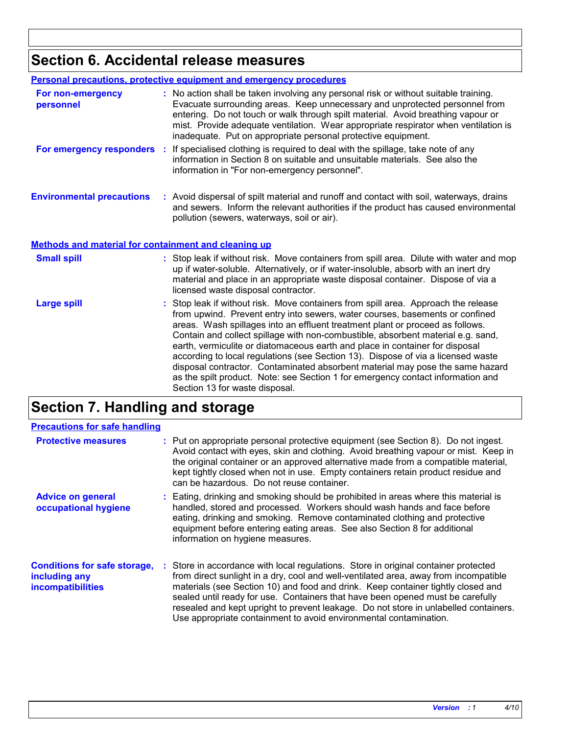### **Section 6. Accidental release measures**

| <b>Personal precautions, protective equipment and emergency procedures</b> |                                                                                                                                                                                                                                                                                                                                                                                                                                                                                                                                                                                                                                                                                                                   |  |
|----------------------------------------------------------------------------|-------------------------------------------------------------------------------------------------------------------------------------------------------------------------------------------------------------------------------------------------------------------------------------------------------------------------------------------------------------------------------------------------------------------------------------------------------------------------------------------------------------------------------------------------------------------------------------------------------------------------------------------------------------------------------------------------------------------|--|
| For non-emergency<br>personnel                                             | : No action shall be taken involving any personal risk or without suitable training.<br>Evacuate surrounding areas. Keep unnecessary and unprotected personnel from<br>entering. Do not touch or walk through spilt material. Avoid breathing vapour or<br>mist. Provide adequate ventilation. Wear appropriate respirator when ventilation is<br>inadequate. Put on appropriate personal protective equipment.                                                                                                                                                                                                                                                                                                   |  |
|                                                                            | For emergency responders : If specialised clothing is required to deal with the spillage, take note of any<br>information in Section 8 on suitable and unsuitable materials. See also the<br>information in "For non-emergency personnel".                                                                                                                                                                                                                                                                                                                                                                                                                                                                        |  |
| <b>Environmental precautions</b>                                           | : Avoid dispersal of spilt material and runoff and contact with soil, waterways, drains<br>and sewers. Inform the relevant authorities if the product has caused environmental<br>pollution (sewers, waterways, soil or air).                                                                                                                                                                                                                                                                                                                                                                                                                                                                                     |  |
| <b>Methods and material for containment and cleaning up</b>                |                                                                                                                                                                                                                                                                                                                                                                                                                                                                                                                                                                                                                                                                                                                   |  |
| <b>Small spill</b>                                                         | : Stop leak if without risk. Move containers from spill area. Dilute with water and mop<br>up if water-soluble. Alternatively, or if water-insoluble, absorb with an inert dry<br>material and place in an appropriate waste disposal container. Dispose of via a<br>licensed waste disposal contractor.                                                                                                                                                                                                                                                                                                                                                                                                          |  |
| <b>Large spill</b>                                                         | : Stop leak if without risk. Move containers from spill area. Approach the release<br>from upwind. Prevent entry into sewers, water courses, basements or confined<br>areas. Wash spillages into an effluent treatment plant or proceed as follows.<br>Contain and collect spillage with non-combustible, absorbent material e.g. sand,<br>earth, vermiculite or diatomaceous earth and place in container for disposal<br>according to local regulations (see Section 13). Dispose of via a licensed waste<br>disposal contractor. Contaminated absorbent material may pose the same hazard<br>as the spilt product. Note: see Section 1 for emergency contact information and<br>Section 13 for waste disposal. |  |

### **Section 7. Handling and storage**

| <b>Precautions for safe handling</b>                                             |                                                                                                                                                                                                                                                                                                                                                                                                                                                                                                                |
|----------------------------------------------------------------------------------|----------------------------------------------------------------------------------------------------------------------------------------------------------------------------------------------------------------------------------------------------------------------------------------------------------------------------------------------------------------------------------------------------------------------------------------------------------------------------------------------------------------|
| <b>Protective measures</b>                                                       | : Put on appropriate personal protective equipment (see Section 8). Do not ingest.<br>Avoid contact with eyes, skin and clothing. Avoid breathing vapour or mist. Keep in<br>the original container or an approved alternative made from a compatible material,<br>kept tightly closed when not in use. Empty containers retain product residue and<br>can be hazardous. Do not reuse container.                                                                                                               |
| <b>Advice on general</b><br>occupational hygiene                                 | : Eating, drinking and smoking should be prohibited in areas where this material is<br>handled, stored and processed. Workers should wash hands and face before<br>eating, drinking and smoking. Remove contaminated clothing and protective<br>equipment before entering eating areas. See also Section 8 for additional<br>information on hygiene measures.                                                                                                                                                  |
| <b>Conditions for safe storage,</b><br>including any<br><b>incompatibilities</b> | : Store in accordance with local regulations. Store in original container protected<br>from direct sunlight in a dry, cool and well-ventilated area, away from incompatible<br>materials (see Section 10) and food and drink. Keep container tightly closed and<br>sealed until ready for use. Containers that have been opened must be carefully<br>resealed and kept upright to prevent leakage. Do not store in unlabelled containers.<br>Use appropriate containment to avoid environmental contamination. |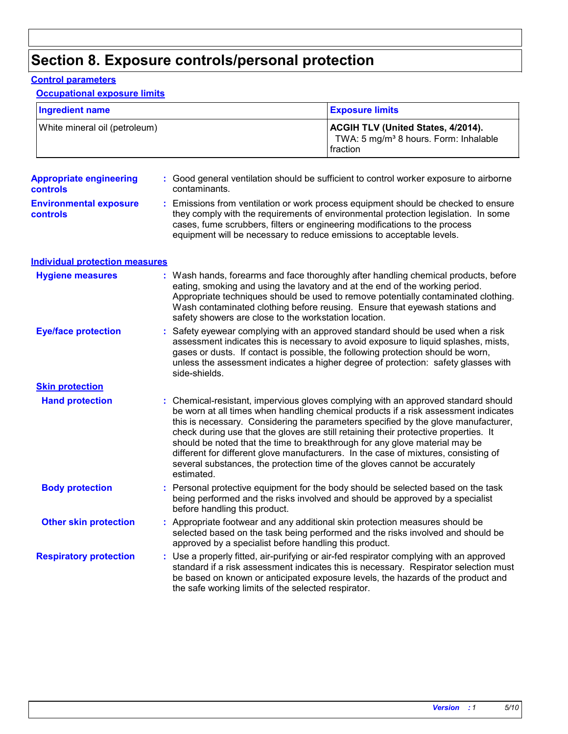### **Section 8. Exposure controls/personal protection**

#### **Control parameters**

### **Occupational exposure limits**

| <b>Ingredient name</b>                     |               | <b>Exposure limits</b>                                                                                                                                                                                                                                                                                                                                                                                                                                                                                                                                                                                      |  |
|--------------------------------------------|---------------|-------------------------------------------------------------------------------------------------------------------------------------------------------------------------------------------------------------------------------------------------------------------------------------------------------------------------------------------------------------------------------------------------------------------------------------------------------------------------------------------------------------------------------------------------------------------------------------------------------------|--|
| White mineral oil (petroleum)              |               | ACGIH TLV (United States, 4/2014).<br>TWA: 5 mg/m <sup>3</sup> 8 hours. Form: Inhalable<br>fraction                                                                                                                                                                                                                                                                                                                                                                                                                                                                                                         |  |
| <b>Appropriate engineering</b><br>controls | contaminants. | : Good general ventilation should be sufficient to control worker exposure to airborne                                                                                                                                                                                                                                                                                                                                                                                                                                                                                                                      |  |
| <b>Environmental exposure</b><br>controls  |               | : Emissions from ventilation or work process equipment should be checked to ensure<br>they comply with the requirements of environmental protection legislation. In some<br>cases, fume scrubbers, filters or engineering modifications to the process<br>equipment will be necessary to reduce emissions to acceptable levels.                                                                                                                                                                                                                                                                             |  |
| <b>Individual protection measures</b>      |               |                                                                                                                                                                                                                                                                                                                                                                                                                                                                                                                                                                                                             |  |
| <b>Hygiene measures</b>                    |               | : Wash hands, forearms and face thoroughly after handling chemical products, before<br>eating, smoking and using the lavatory and at the end of the working period.<br>Appropriate techniques should be used to remove potentially contaminated clothing.<br>Wash contaminated clothing before reusing. Ensure that eyewash stations and<br>safety showers are close to the workstation location.                                                                                                                                                                                                           |  |
| <b>Eye/face protection</b>                 | side-shields. | : Safety eyewear complying with an approved standard should be used when a risk<br>assessment indicates this is necessary to avoid exposure to liquid splashes, mists,<br>gases or dusts. If contact is possible, the following protection should be worn,<br>unless the assessment indicates a higher degree of protection: safety glasses with                                                                                                                                                                                                                                                            |  |
| <b>Skin protection</b>                     |               |                                                                                                                                                                                                                                                                                                                                                                                                                                                                                                                                                                                                             |  |
| <b>Hand protection</b>                     | estimated.    | : Chemical-resistant, impervious gloves complying with an approved standard should<br>be worn at all times when handling chemical products if a risk assessment indicates<br>this is necessary. Considering the parameters specified by the glove manufacturer,<br>check during use that the gloves are still retaining their protective properties. It<br>should be noted that the time to breakthrough for any glove material may be<br>different for different glove manufacturers. In the case of mixtures, consisting of<br>several substances, the protection time of the gloves cannot be accurately |  |
| <b>Body protection</b>                     |               | Personal protective equipment for the body should be selected based on the task<br>being performed and the risks involved and should be approved by a specialist<br>before handling this product.                                                                                                                                                                                                                                                                                                                                                                                                           |  |
| <b>Other skin protection</b>               |               | : Appropriate footwear and any additional skin protection measures should be<br>selected based on the task being performed and the risks involved and should be<br>approved by a specialist before handling this product.                                                                                                                                                                                                                                                                                                                                                                                   |  |
| <b>Respiratory protection</b>              |               | : Use a properly fitted, air-purifying or air-fed respirator complying with an approved<br>standard if a risk assessment indicates this is necessary. Respirator selection must<br>be based on known or anticipated exposure levels, the hazards of the product and<br>the safe working limits of the selected respirator.                                                                                                                                                                                                                                                                                  |  |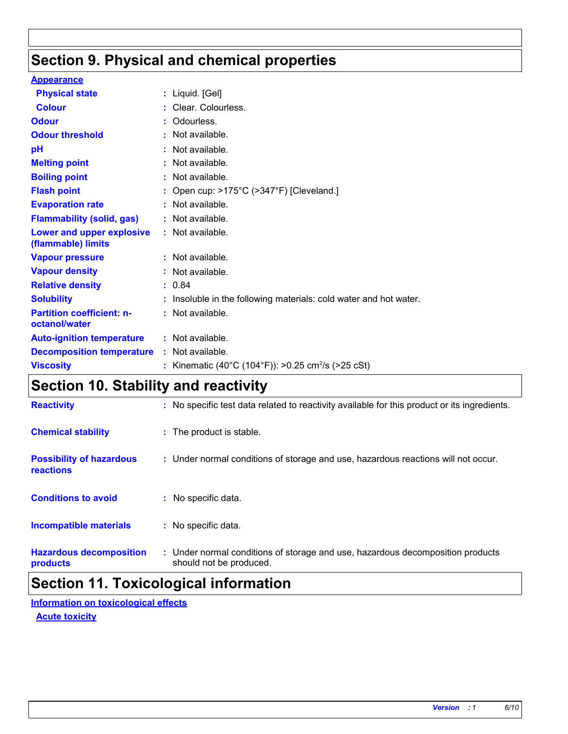### **Section 9. Physical and chemical properties**

| <b>Appearance</b>                                 |                                                                 |
|---------------------------------------------------|-----------------------------------------------------------------|
| <b>Physical state</b>                             | $:$ Liquid. [Gel]                                               |
| <b>Colour</b>                                     | : Clear. Colourless.                                            |
| <b>Odour</b>                                      | Odourless.                                                      |
| <b>Odour threshold</b>                            | : Not available.                                                |
| pH                                                | Not available.                                                  |
| <b>Melting point</b>                              | : Not available.                                                |
| <b>Boiling point</b>                              | Not available.                                                  |
| <b>Flash point</b>                                | Open cup: >175°C (>347°F) [Cleveland.]                          |
| <b>Evaporation rate</b>                           | Not available.                                                  |
| <b>Flammability (solid, gas)</b>                  | $:$ Not available.                                              |
| Lower and upper explosive<br>(flammable) limits   | : Not available.                                                |
| <b>Vapour pressure</b>                            | : Not available.                                                |
| <b>Vapour density</b>                             | : Not available.                                                |
| <b>Relative density</b>                           | : 0.84                                                          |
| <b>Solubility</b>                                 | Insoluble in the following materials: cold water and hot water. |
| <b>Partition coefficient: n-</b><br>octanol/water | : Not available.                                                |
| <b>Auto-ignition temperature</b>                  | : Not available.                                                |
| <b>Decomposition temperature</b>                  | $:$ Not available.                                              |
| <b>Viscosity</b>                                  | Kinematic (40°C (104°F)): >0.25 cm <sup>2</sup> /s (>25 cSt)    |

### **Section 10. Stability and reactivity**

| <b>Reactivity</b>                            | : No specific test data related to reactivity available for this product or its ingredients.              |
|----------------------------------------------|-----------------------------------------------------------------------------------------------------------|
| <b>Chemical stability</b>                    | : The product is stable.                                                                                  |
| <b>Possibility of hazardous</b><br>reactions | : Under normal conditions of storage and use, hazardous reactions will not occur.                         |
| <b>Conditions to avoid</b>                   | : No specific data.                                                                                       |
| <b>Incompatible materials</b>                | : No specific data.                                                                                       |
| <b>Hazardous decomposition</b><br>products   | : Under normal conditions of storage and use, hazardous decomposition products<br>should not be produced. |

### **Section 11. Toxicological information**

**Information on toxicological effects**

**Acute toxicity**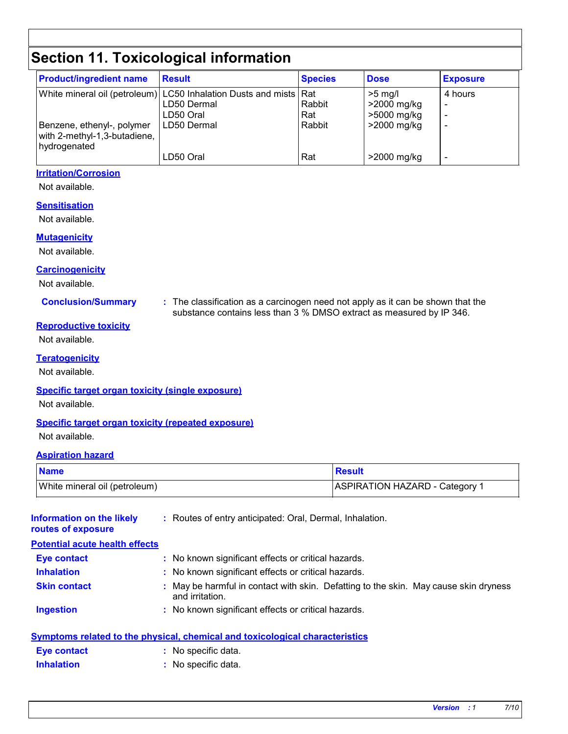### **Section 11. Toxicological information**

| <b>Product/ingredient name</b>                                             | <b>Result</b>                                                                                 | <b>Species</b> | <b>Dose</b>                             | <b>Exposure</b> |
|----------------------------------------------------------------------------|-----------------------------------------------------------------------------------------------|----------------|-----------------------------------------|-----------------|
|                                                                            | White mineral oil (petroleum) LC50 Inhalation Dusts and mists Rat<br>LD50 Dermal<br>LD50 Oral | Rabbit<br>Rat  | $>5$ mg/l<br>>2000 mg/kg<br>>5000 mg/kg | 4 hours         |
| Benzene, ethenyl-, polymer<br>with 2-methyl-1,3-butadiene,<br>hydrogenated | LD50 Dermal                                                                                   | Rabbit         | >2000 mg/kg                             |                 |
|                                                                            | LD50 Oral                                                                                     | Rat            | >2000 mg/kg                             |                 |

#### **Irritation/Corrosion**

Not available.

#### **Sensitisation**

Not available.

#### **Mutagenicity**

Not available.

#### **Carcinogenicity**

Not available.

**Conclusion/Summary :** The classification as a carcinogen need not apply as it can be shown that the substance contains less than 3 % DMSO extract as measured by IP 346.

#### **Reproductive toxicity**

Not available.

#### **Teratogenicity**

Not available.

#### **Specific target organ toxicity (single exposure)**

Not available.

#### **Specific target organ toxicity (repeated exposure)**

Not available.

#### **Aspiration hazard**

| <b>Name</b>                   | Result                                    |
|-------------------------------|-------------------------------------------|
| White mineral oil (petroleum) | ASPIRATION HAZARD - Category <sup>1</sup> |

| Information on the likely<br>routes of exposure | : Routes of entry anticipated: Oral, Dermal, Inhalation.                                                |
|-------------------------------------------------|---------------------------------------------------------------------------------------------------------|
| <b>Potential acute health effects</b>           |                                                                                                         |
| <b>Eye contact</b>                              | : No known significant effects or critical hazards.                                                     |
| <b>Inhalation</b>                               | : No known significant effects or critical hazards.                                                     |
| <b>Skin contact</b>                             | : May be harmful in contact with skin. Defatting to the skin. May cause skin dryness<br>and irritation. |
| <b>Ingestion</b>                                | : No known significant effects or critical hazards.                                                     |
|                                                 | <u>Symptoms related to the physical, chemical and toxicological characteristics</u>                     |
| Eye contact                                     | : No specific data.                                                                                     |
| <b>Inhalation</b>                               | : No specific data.                                                                                     |
|                                                 |                                                                                                         |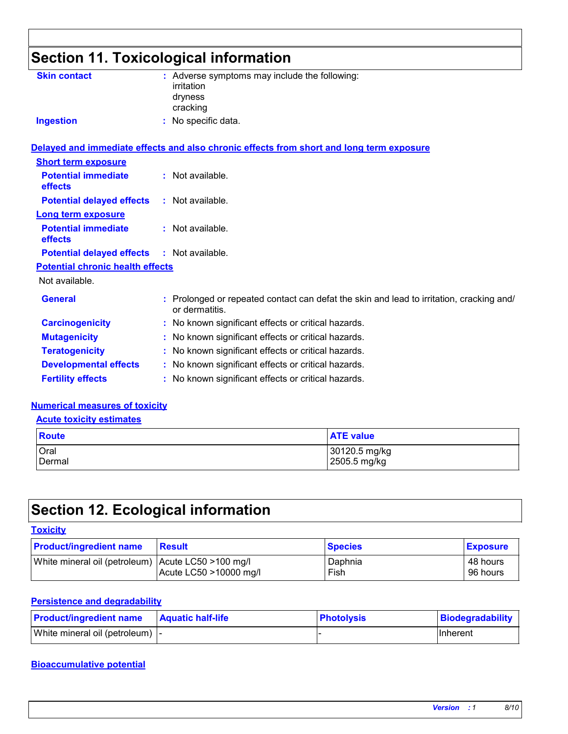### **Section 11. Toxicological information**

| <b>Skin contact</b>                               | : Adverse symptoms may include the following:<br>irritation<br>dryness<br>cracking                         |
|---------------------------------------------------|------------------------------------------------------------------------------------------------------------|
| <b>Ingestion</b>                                  | : No specific data.                                                                                        |
|                                                   | Delayed and immediate effects and also chronic effects from short and long term exposure                   |
| <b>Short term exposure</b>                        |                                                                                                            |
| <b>Potential immediate</b><br>effects             | : Not available.                                                                                           |
| <b>Potential delayed effects</b>                  | : Not available.                                                                                           |
| <b>Long term exposure</b>                         |                                                                                                            |
| <b>Potential immediate</b><br>effects             | : Not available.                                                                                           |
| <b>Potential delayed effects : Not available.</b> |                                                                                                            |
| <b>Potential chronic health effects</b>           |                                                                                                            |
| Not available.                                    |                                                                                                            |
| <b>General</b>                                    | : Prolonged or repeated contact can defat the skin and lead to irritation, cracking and/<br>or dermatitis. |
| <b>Carcinogenicity</b>                            | : No known significant effects or critical hazards.                                                        |
| <b>Mutagenicity</b>                               | : No known significant effects or critical hazards.                                                        |
| <b>Teratogenicity</b>                             | : No known significant effects or critical hazards.                                                        |
| <b>Developmental effects</b>                      | : No known significant effects or critical hazards.                                                        |
| <b>Fertility effects</b>                          | : No known significant effects or critical hazards.                                                        |

#### **Numerical measures of toxicity**

**Acute toxicity estimates**

| Route  | <b>ATE value</b> |
|--------|------------------|
| Oral   | 30120.5 mg/kg    |
| Dermal | 2505.5 mg/kg     |

### **Section 12. Ecological information**

#### **Toxicity**

| <b>Product/ingredient name</b>                     | Result                 | <b>Species</b> | <b>Exposure</b> |
|----------------------------------------------------|------------------------|----------------|-----------------|
| White mineral oil (petroleum) Acute LC50 >100 mg/l |                        | Daphnia        | 48 hours        |
|                                                    | Acute LC50 >10000 mg/l | Fish           | 96 hours        |

#### **Persistence and degradability**

| <b>Product/ingredient name</b>   | <b>Aquatic half-life</b> | <b>Photolysis</b> | Biodegradability |
|----------------------------------|--------------------------|-------------------|------------------|
| White mineral oil (petroleum)  - |                          |                   | IInherent        |

#### **Bioaccumulative potential**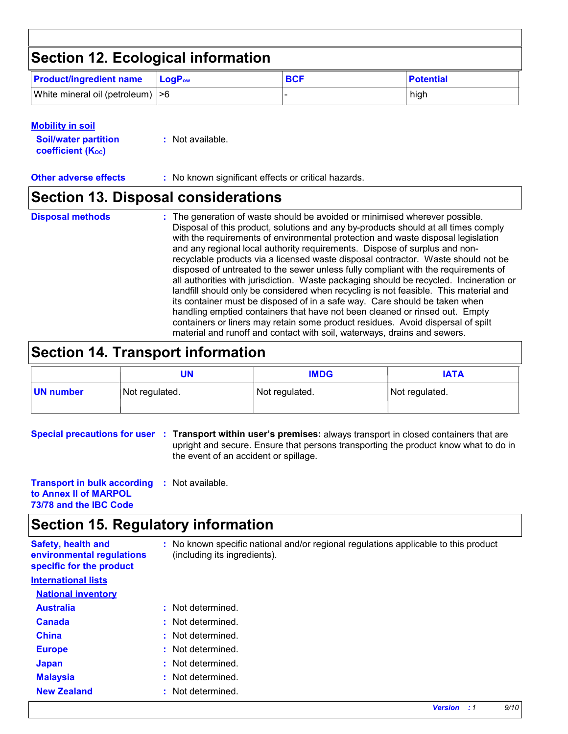### **Section 12. Ecological information**

| <b>Product/ingredient name</b>    | $\mathsf{LoaP}_\mathsf{ow}$ | <b>BCF</b> | <b>Potential</b> |
|-----------------------------------|-----------------------------|------------|------------------|
| White mineral oil (petroleum)  >6 |                             |            | high             |

#### **Mobility in soil**

**Soil/water partition coefficient (KOC)**

**Other adverse effects** : No known significant effects or critical hazards.

### **Section 13. Disposal considerations**

- **Disposal methods :**
- The generation of waste should be avoided or minimised wherever possible. Disposal of this product, solutions and any by-products should at all times comply with the requirements of environmental protection and waste disposal legislation and any regional local authority requirements. Dispose of surplus and nonrecyclable products via a licensed waste disposal contractor. Waste should not be disposed of untreated to the sewer unless fully compliant with the requirements of all authorities with jurisdiction. Waste packaging should be recycled. Incineration or landfill should only be considered when recycling is not feasible. This material and its container must be disposed of in a safe way. Care should be taken when handling emptied containers that have not been cleaned or rinsed out. Empty containers or liners may retain some product residues. Avoid dispersal of spilt material and runoff and contact with soil, waterways, drains and sewers.

### **Section 14. Transport information**

|           | UN             | <b>IMDG</b>    | <b>IATA</b>    |
|-----------|----------------|----------------|----------------|
| UN number | Not regulated. | Not regulated. | Not regulated. |

**Special precautions for user Transport within user's premises:** always transport in closed containers that are **:** upright and secure. Ensure that persons transporting the product know what to do in the event of an accident or spillage.

**Transport in bulk according :** Not available. **to Annex II of MARPOL 73/78 and the IBC Code**

### **Section 15. Regulatory information**

| <b>Safety, health and</b><br>environmental regulations<br>specific for the product | : No known specific national and/or regional regulations applicable to this product<br>(including its ingredients). |
|------------------------------------------------------------------------------------|---------------------------------------------------------------------------------------------------------------------|
| <b>International lists</b>                                                         |                                                                                                                     |
| <b>National inventory</b>                                                          |                                                                                                                     |
| <b>Australia</b>                                                                   | : Not determined.                                                                                                   |
| <b>Canada</b>                                                                      | : Not determined.                                                                                                   |
| <b>China</b>                                                                       | : Not determined.                                                                                                   |
| <b>Europe</b>                                                                      | : Not determined.                                                                                                   |
| <b>Japan</b>                                                                       | : Not determined.                                                                                                   |
| <b>Malaysia</b>                                                                    | Not determined.                                                                                                     |
| <b>New Zealand</b>                                                                 | : Not determined.                                                                                                   |